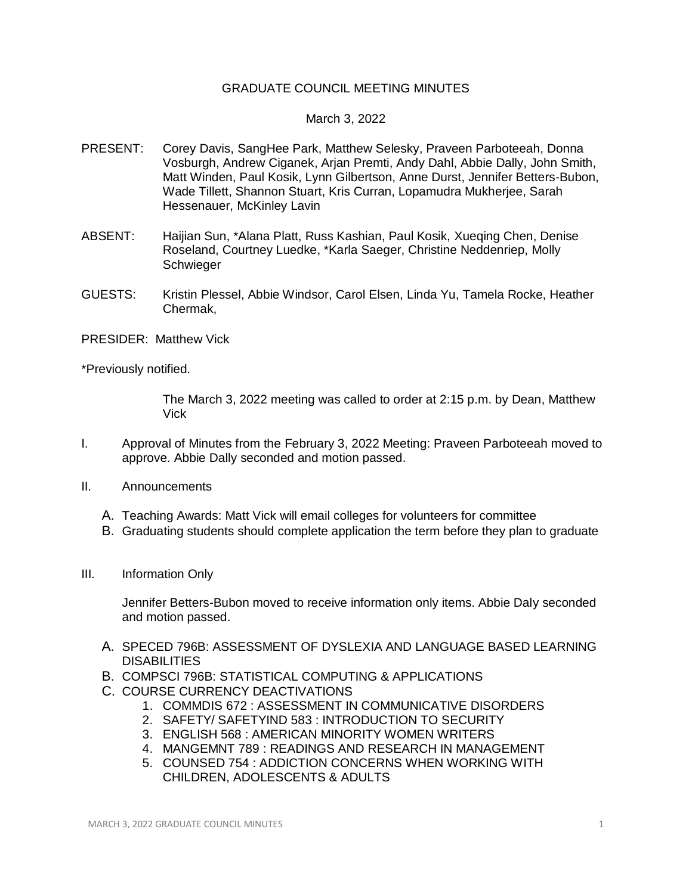## GRADUATE COUNCIL MEETING MINUTES

## March 3, 2022

- PRESENT: Corey Davis, SangHee Park, Matthew Selesky, Praveen Parboteeah, Donna Vosburgh, Andrew Ciganek, Arjan Premti, Andy Dahl, Abbie Dally, John Smith, Matt Winden, Paul Kosik, Lynn Gilbertson, Anne Durst, Jennifer Betters-Bubon, Wade Tillett, Shannon Stuart, Kris Curran, Lopamudra Mukherjee, Sarah Hessenauer, McKinley Lavin
- ABSENT: Haijian Sun, \*Alana Platt, Russ Kashian, Paul Kosik, Xueqing Chen, Denise Roseland, Courtney Luedke, \*Karla Saeger, Christine Neddenriep, Molly Schwieger
- GUESTS: Kristin Plessel, Abbie Windsor, Carol Elsen, Linda Yu, Tamela Rocke, Heather Chermak,
- PRESIDER: Matthew Vick

\*Previously notified.

The March 3, 2022 meeting was called to order at 2:15 p.m. by Dean, Matthew Vick

- I. Approval of Minutes from the February 3, 2022 Meeting: Praveen Parboteeah moved to approve. Abbie Dally seconded and motion passed.
- II. Announcements
	- A. Teaching Awards: Matt Vick will email colleges for volunteers for committee
	- B. Graduating students should complete application the term before they plan to graduate
- III. Information Only

Jennifer Betters-Bubon moved to receive information only items. Abbie Daly seconded and motion passed.

- A. SPECED 796B: ASSESSMENT OF DYSLEXIA AND LANGUAGE BASED LEARNING DISABILITIES
- B. COMPSCI 796B: STATISTICAL COMPUTING & APPLICATIONS
- C. COURSE CURRENCY DEACTIVATIONS
	- 1. COMMDIS 672 : ASSESSMENT IN COMMUNICATIVE DISORDERS
	- 2. SAFETY/ SAFETYIND 583 : INTRODUCTION TO SECURITY
	- 3. ENGLISH 568 : AMERICAN MINORITY WOMEN WRITERS
	- 4. MANGEMNT 789 : READINGS AND RESEARCH IN MANAGEMENT
	- 5. COUNSED 754 : ADDICTION CONCERNS WHEN WORKING WITH CHILDREN, ADOLESCENTS & ADULTS